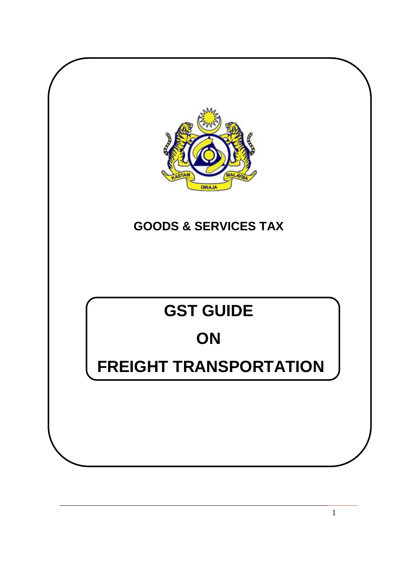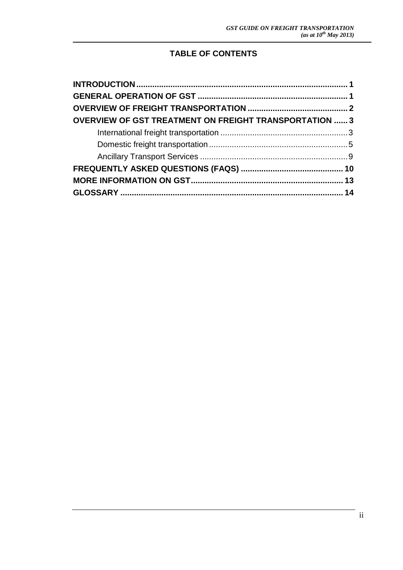## **TABLE OF CONTENTS**

| <b>OVERVIEW OF GST TREATMENT ON FREIGHT TRANSPORTATION  3</b> |  |
|---------------------------------------------------------------|--|
|                                                               |  |
|                                                               |  |
|                                                               |  |
|                                                               |  |
|                                                               |  |
|                                                               |  |
|                                                               |  |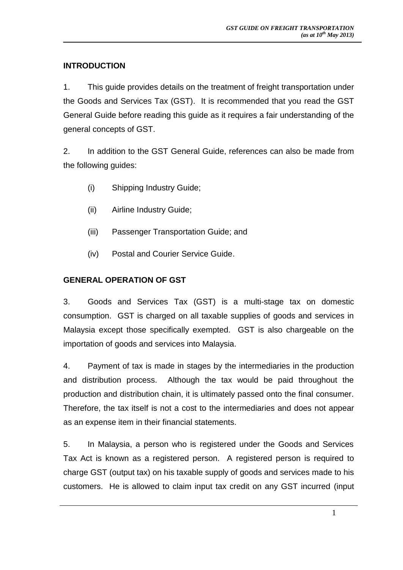## <span id="page-2-0"></span>**INTRODUCTION**

1. This guide provides details on the treatment of freight transportation under the Goods and Services Tax (GST). It is recommended that you read the GST General Guide before reading this guide as it requires a fair understanding of the general concepts of GST.

2. In addition to the GST General Guide, references can also be made from the following guides:

- (i) Shipping Industry Guide;
- (ii) Airline Industry Guide;
- (iii) Passenger Transportation Guide; and
- (iv) Postal and Courier Service Guide.

### <span id="page-2-1"></span>**GENERAL OPERATION OF GST**

3. Goods and Services Tax (GST) is a multi-stage tax on domestic consumption. GST is charged on all taxable supplies of goods and services in Malaysia except those specifically exempted. GST is also chargeable on the importation of goods and services into Malaysia.

4. Payment of tax is made in stages by the intermediaries in the production and distribution process. Although the tax would be paid throughout the production and distribution chain, it is ultimately passed onto the final consumer. Therefore, the tax itself is not a cost to the intermediaries and does not appear as an expense item in their financial statements.

5. In Malaysia, a person who is registered under the Goods and Services Tax Act is known as a registered person. A registered person is required to charge GST (output tax) on his taxable supply of goods and services made to his customers. He is allowed to claim input tax credit on any GST incurred (input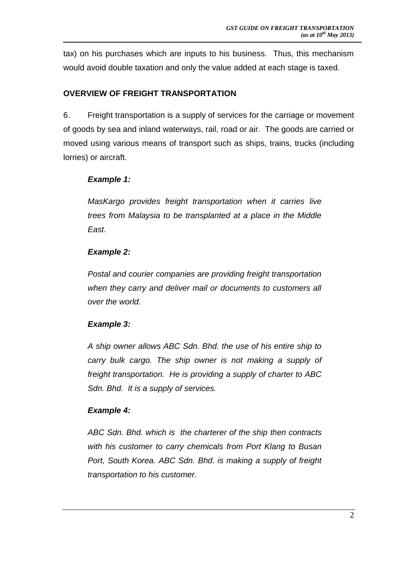tax) on his purchases which are inputs to his business. Thus, this mechanism would avoid double taxation and only the value added at each stage is taxed.

## <span id="page-3-0"></span>**OVERVIEW OF FREIGHT TRANSPORTATION**

6. Freight transportation is a supply of services for the carriage or movement of goods by sea and inland waterways, rail, road or air. The goods are carried or moved using various means of transport such as ships, trains, trucks (including lorries) or aircraft.

## *Example 1:*

*MasKargo provides freight transportation when it carries live trees from Malaysia to be transplanted at a place in the Middle East.*

## *Example 2:*

*Postal and courier companies are providing freight transportation when they carry and deliver mail or documents to customers all over the world.*

## *Example 3:*

*A ship owner allows ABC Sdn. Bhd. the use of his entire ship to carry bulk cargo. The ship owner is not making a supply of freight transportation. He is providing a supply of charter to ABC Sdn. Bhd. It is a supply of services.*

## *Example 4:*

*ABC Sdn. Bhd. which is the charterer of the ship then contracts with his customer to carry chemicals from Port Klang to Busan Port, South Korea. ABC Sdn. Bhd. is making a supply of freight transportation to his customer.*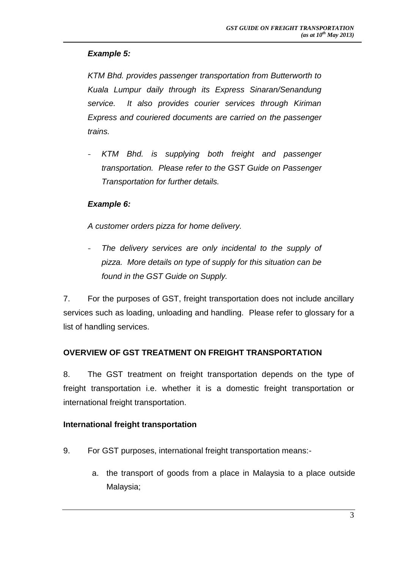## *Example 5:*

*KTM Bhd. provides passenger transportation from Butterworth to Kuala Lumpur daily through its Express Sinaran/Senandung service. It also provides courier services through Kiriman Express and couriered documents are carried on the passenger trains.*

- *KTM Bhd. is supplying both freight and passenger transportation. Please refer to the GST Guide on Passenger Transportation for further details.*

## *Example 6:*

*A customer orders pizza for home delivery.*

The delivery services are only incidental to the supply of *pizza. More details on type of supply for this situation can be found in the GST Guide on Supply.* 

7. For the purposes of GST, freight transportation does not include ancillary services such as loading, unloading and handling. Please refer to glossary for a list of handling services.

## <span id="page-4-0"></span>**OVERVIEW OF GST TREATMENT ON FREIGHT TRANSPORTATION**

8. The GST treatment on freight transportation depends on the type of freight transportation i.e. whether it is a domestic freight transportation or international freight transportation.

## <span id="page-4-1"></span>**International freight transportation**

- 9. For GST purposes, international freight transportation means:
	- a. the transport of goods from a place in Malaysia to a place outside Malaysia;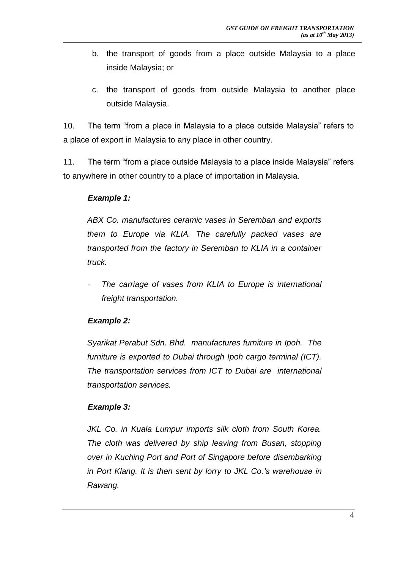- b. the transport of goods from a place outside Malaysia to a place inside Malaysia; or
- c. the transport of goods from outside Malaysia to another place outside Malaysia.

10. The term "from a place in Malaysia to a place outside Malaysia" refers to a place of export in Malaysia to any place in other country.

11. The term "from a place outside Malaysia to a place inside Malaysia" refers to anywhere in other country to a place of importation in Malaysia.

## *Example 1:*

*ABX Co. manufactures ceramic vases in Seremban and exports them to Europe via KLIA. The carefully packed vases are transported from the factory in Seremban to KLIA in a container truck.*

- *The carriage of vases from KLIA to Europe is international freight transportation.*

## *Example 2:*

*Syarikat Perabut Sdn. Bhd. manufactures furniture in Ipoh. The furniture is exported to Dubai through Ipoh cargo terminal (ICT). The transportation services from ICT to Dubai are international transportation services.* 

## *Example 3:*

*JKL Co. in Kuala Lumpur imports silk cloth from South Korea. The cloth was delivered by ship leaving from Busan, stopping over in Kuching Port and Port of Singapore before disembarking in Port Klang. It is then sent by lorry to JKL Co.'s warehouse in Rawang.*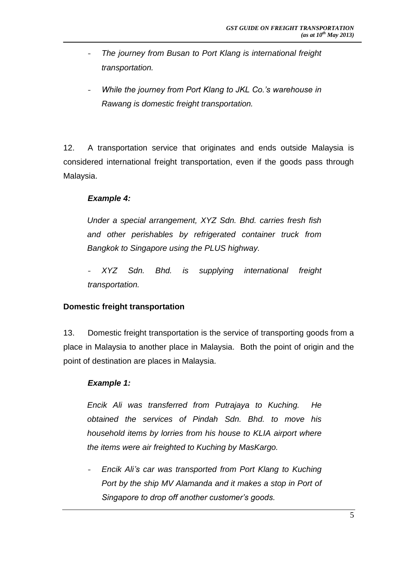- *The journey from Busan to Port Klang is international freight transportation.*
- *While the journey from Port Klang to JKL Co.'s warehouse in Rawang is domestic freight transportation.*

12. A transportation service that originates and ends outside Malaysia is considered international freight transportation, even if the goods pass through Malaysia.

## *Example 4:*

*Under a special arrangement, XYZ Sdn. Bhd. carries fresh fish and other perishables by refrigerated container truck from Bangkok to Singapore using the PLUS highway.*

- *XYZ Sdn. Bhd. is supplying international freight transportation.*

## <span id="page-6-0"></span>**Domestic freight transportation**

13. Domestic freight transportation is the service of transporting goods from a place in Malaysia to another place in Malaysia. Both the point of origin and the point of destination are places in Malaysia.

## *Example 1:*

*Encik Ali was transferred from Putrajaya to Kuching. He obtained the services of Pindah Sdn. Bhd. to move his household items by lorries from his house to KLIA airport where the items were air freighted to Kuching by MasKargo.* 

- *Encik Ali's car was transported from Port Klang to Kuching Port by the ship MV Alamanda and it makes a stop in Port of Singapore to drop off another customer's goods.*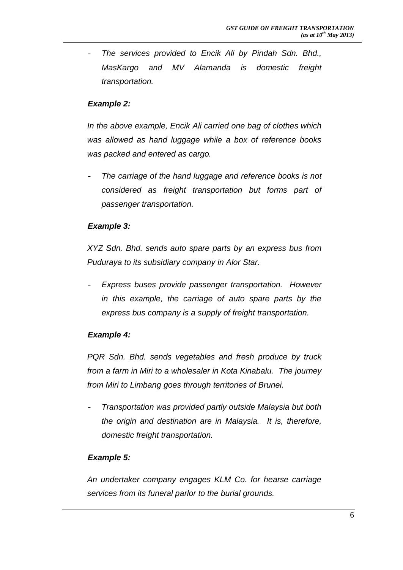- *The services provided to Encik Ali by Pindah Sdn. Bhd., MasKargo and MV Alamanda is domestic freight transportation.*

## *Example 2:*

*In the above example, Encik Ali carried one bag of clothes which was allowed as hand luggage while a box of reference books was packed and entered as cargo.*

- *The carriage of the hand luggage and reference books is not considered as freight transportation but forms part of passenger transportation.*

#### *Example 3:*

*XYZ Sdn. Bhd. sends auto spare parts by an express bus from Puduraya to its subsidiary company in Alor Star.*

- *Express buses provide passenger transportation. However in this example, the carriage of auto spare parts by the express bus company is a supply of freight transportation.*

## *Example 4:*

*PQR Sdn. Bhd. sends vegetables and fresh produce by truck from a farm in Miri to a wholesaler in Kota Kinabalu. The journey from Miri to Limbang goes through territories of Brunei.*

- *Transportation was provided partly outside Malaysia but both the origin and destination are in Malaysia. It is, therefore, domestic freight transportation.*

## *Example 5:*

*An undertaker company engages KLM Co. for hearse carriage services from its funeral parlor to the burial grounds.*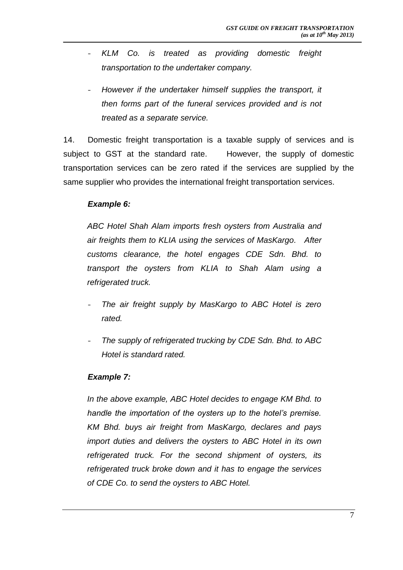- *KLM Co. is treated as providing domestic freight transportation to the undertaker company.*
- *However if the undertaker himself supplies the transport, it then forms part of the funeral services provided and is not treated as a separate service.*

14. Domestic freight transportation is a taxable supply of services and is subject to GST at the standard rate. However, the supply of domestic transportation services can be zero rated if the services are supplied by the same supplier who provides the international freight transportation services.

#### *Example 6:*

*ABC Hotel Shah Alam imports fresh oysters from Australia and air freights them to KLIA using the services of MasKargo. After customs clearance, the hotel engages CDE Sdn. Bhd. to transport the oysters from KLIA to Shah Alam using a refrigerated truck.*

- *The air freight supply by MasKargo to ABC Hotel is zero rated.*
- *The supply of refrigerated trucking by CDE Sdn. Bhd. to ABC Hotel is standard rated.*

## *Example 7:*

*In the above example, ABC Hotel decides to engage KM Bhd. to handle the importation of the oysters up to the hotel's premise. KM Bhd. buys air freight from MasKargo, declares and pays import duties and delivers the oysters to ABC Hotel in its own refrigerated truck. For the second shipment of oysters, its refrigerated truck broke down and it has to engage the services of CDE Co. to send the oysters to ABC Hotel.*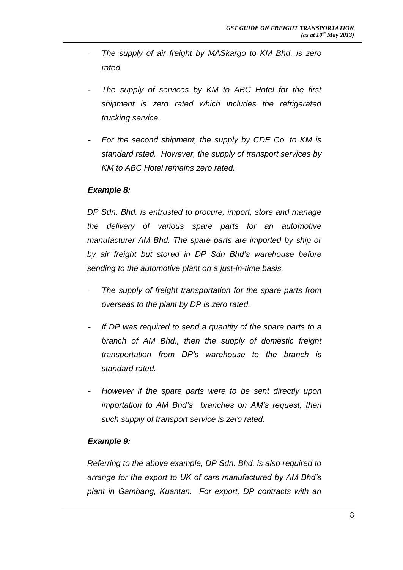- *The supply of air freight by MASkargo to KM Bhd. is zero rated.*
- The supply of services by KM to ABC Hotel for the first *shipment is zero rated which includes the refrigerated trucking service.*
- For the second shipment, the supply by CDE Co. to KM is *standard rated. However, the supply of transport services by KM to ABC Hotel remains zero rated.*

#### *Example 8:*

*DP Sdn. Bhd. is entrusted to procure, import, store and manage the delivery of various spare parts for an automotive manufacturer AM Bhd. The spare parts are imported by ship or by air freight but stored in DP Sdn Bhd's warehouse before sending to the automotive plant on a just-in-time basis.* 

- The supply of freight transportation for the spare parts from *overseas to the plant by DP is zero rated.*
- *If DP was required to send a quantity of the spare parts to a branch of AM Bhd., then the supply of domestic freight transportation from DP's warehouse to the branch is standard rated.*
- *However if the spare parts were to be sent directly upon importation to AM Bhd's branches on AM's request, then such supply of transport service is zero rated.*

#### *Example 9:*

*Referring to the above example, DP Sdn. Bhd. is also required to arrange for the export to UK of cars manufactured by AM Bhd's plant in Gambang, Kuantan. For export, DP contracts with an*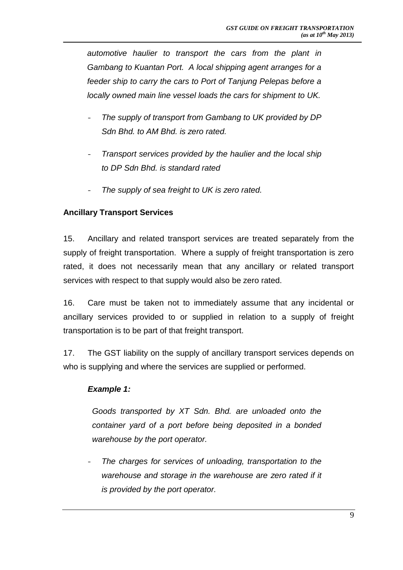*automotive haulier to transport the cars from the plant in Gambang to Kuantan Port. A local shipping agent arranges for a feeder ship to carry the cars to Port of Tanjung Pelepas before a locally owned main line vessel loads the cars for shipment to UK.*

- *The supply of transport from Gambang to UK provided by DP Sdn Bhd. to AM Bhd. is zero rated.*
- *Transport services provided by the haulier and the local ship to DP Sdn Bhd. is standard rated*
- The supply of sea freight to UK is zero rated.

## <span id="page-10-0"></span>**Ancillary Transport Services**

15. Ancillary and related transport services are treated separately from the supply of freight transportation. Where a supply of freight transportation is zero rated, it does not necessarily mean that any ancillary or related transport services with respect to that supply would also be zero rated.

16. Care must be taken not to immediately assume that any incidental or ancillary services provided to or supplied in relation to a supply of freight transportation is to be part of that freight transport.

17. The GST liability on the supply of ancillary transport services depends on who is supplying and where the services are supplied or performed.

## *Example 1:*

*Goods transported by XT Sdn. Bhd. are unloaded onto the container yard of a port before being deposited in a bonded warehouse by the port operator.*

- *The charges for services of unloading, transportation to the warehouse and storage in the warehouse are zero rated if it is provided by the port operator.*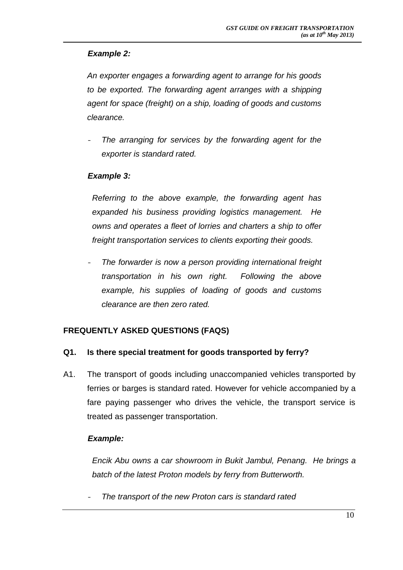## *Example 2:*

*An exporter engages a forwarding agent to arrange for his goods to be exported. The forwarding agent arranges with a shipping agent for space (freight) on a ship, loading of goods and customs clearance.*

The arranging for services by the forwarding agent for the *exporter is standard rated.*

## *Example 3:*

*Referring to the above example, the forwarding agent has expanded his business providing logistics management. He owns and operates a fleet of lorries and charters a ship to offer freight transportation services to clients exporting their goods.*

- *The forwarder is now a person providing international freight transportation in his own right. Following the above example, his supplies of loading of goods and customs clearance are then zero rated.*

## <span id="page-11-0"></span>**FREQUENTLY ASKED QUESTIONS (FAQS)**

## **Q1. Is there special treatment for goods transported by ferry?**

A1. The transport of goods including unaccompanied vehicles transported by ferries or barges is standard rated. However for vehicle accompanied by a fare paying passenger who drives the vehicle, the transport service is treated as passenger transportation.

## *Example:*

*Encik Abu owns a car showroom in Bukit Jambul, Penang. He brings a batch of the latest Proton models by ferry from Butterworth.*

- *The transport of the new Proton cars is standard rated*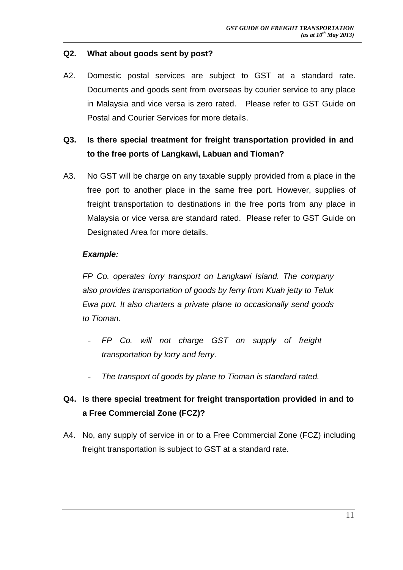#### **Q2. What about goods sent by post?**

A2. Domestic postal services are subject to GST at a standard rate. Documents and goods sent from overseas by courier service to any place in Malaysia and vice versa is zero rated. Please refer to GST Guide on Postal and Courier Services for more details.

## **Q3. Is there special treatment for freight transportation provided in and to the free ports of Langkawi, Labuan and Tioman?**

A3. No GST will be charge on any taxable supply provided from a place in the free port to another place in the same free port. However, supplies of freight transportation to destinations in the free ports from any place in Malaysia or vice versa are standard rated. Please refer to GST Guide on Designated Area for more details.

#### *Example:*

*FP Co. operates lorry transport on Langkawi Island. The company also provides transportation of goods by ferry from Kuah jetty to Teluk Ewa port. It also charters a private plane to occasionally send goods to Tioman.*

- *FP Co. will not charge GST on supply of freight transportation by lorry and ferry.*
- *The transport of goods by plane to Tioman is standard rated.*

## **Q4. Is there special treatment for freight transportation provided in and to a Free Commercial Zone (FCZ)?**

A4. No, any supply of service in or to a Free Commercial Zone (FCZ) including freight transportation is subject to GST at a standard rate.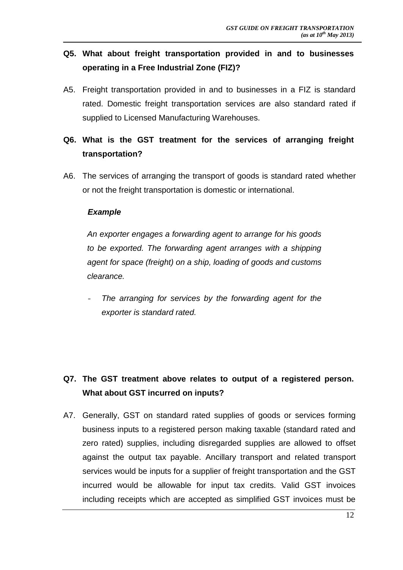## **Q5. What about freight transportation provided in and to businesses operating in a Free Industrial Zone (FIZ)?**

A5. Freight transportation provided in and to businesses in a FIZ is standard rated. Domestic freight transportation services are also standard rated if supplied to Licensed Manufacturing Warehouses.

## **Q6. What is the GST treatment for the services of arranging freight transportation?**

A6. The services of arranging the transport of goods is standard rated whether or not the freight transportation is domestic or international.

## *Example*

*An exporter engages a forwarding agent to arrange for his goods to be exported. The forwarding agent arranges with a shipping agent for space (freight) on a ship, loading of goods and customs clearance.*

The arranging for services by the forwarding agent for the *exporter is standard rated.*

## **Q7. The GST treatment above relates to output of a registered person. What about GST incurred on inputs?**

A7. Generally, GST on standard rated supplies of goods or services forming business inputs to a registered person making taxable (standard rated and zero rated) supplies, including disregarded supplies are allowed to offset against the output tax payable. Ancillary transport and related transport services would be inputs for a supplier of freight transportation and the GST incurred would be allowable for input tax credits. Valid GST invoices including receipts which are accepted as simplified GST invoices must be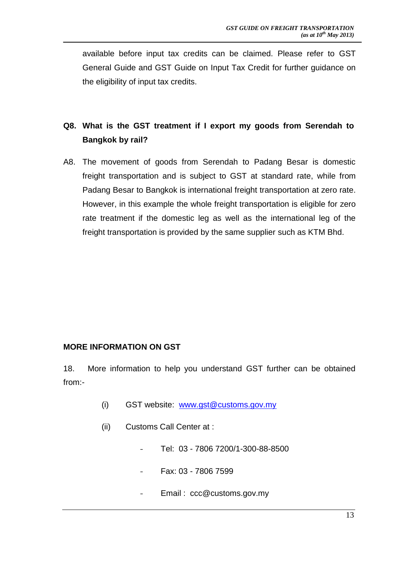available before input tax credits can be claimed. Please refer to GST General Guide and GST Guide on Input Tax Credit for further guidance on the eligibility of input tax credits.

# **Q8. What is the GST treatment if I export my goods from Serendah to Bangkok by rail?**

<span id="page-14-0"></span>A8. The movement of goods from Serendah to Padang Besar is domestic freight transportation and is subject to GST at standard rate, while from Padang Besar to Bangkok is international freight transportation at zero rate. However, in this example the whole freight transportation is eligible for zero rate treatment if the domestic leg as well as the international leg of the freight transportation is provided by the same supplier such as KTM Bhd.

## **MORE INFORMATION ON GST**

18. More information to help you understand GST further can be obtained from:-

- (i) GST website: [www.gst@customs.gov.my](http://www.gst@customs.gov.my/)
- (ii) Customs Call Center at :
	- Tel: 03 7806 7200/1-300-88-8500
	- Fax: 03 7806 7599
	- Email: ccc@customs.gov.my